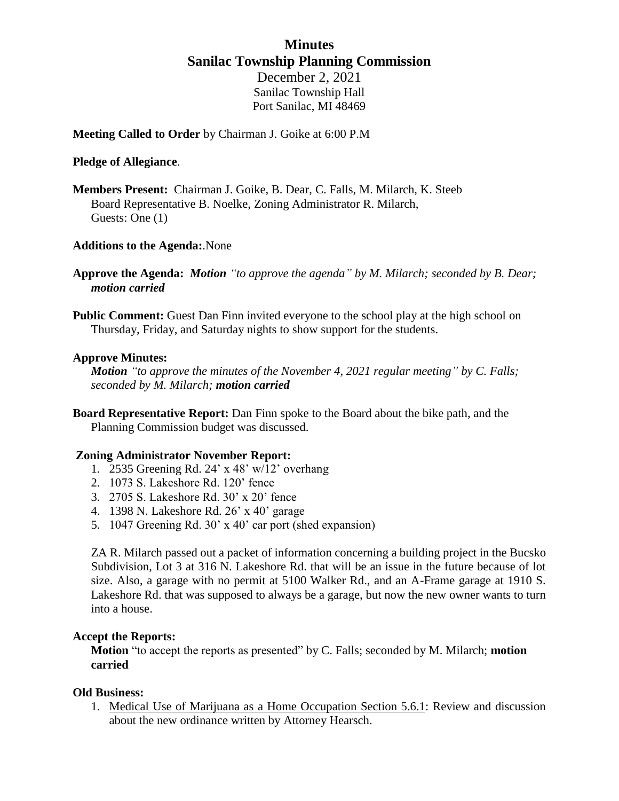## **Minutes Sanilac Township Planning Commission**

December 2, 2021 Sanilac Township Hall Port Sanilac, MI 48469

**Meeting Called to Order** by Chairman J. Goike at 6:00 P.M

### **Pledge of Allegiance**.

**Members Present:** Chairman J. Goike, B. Dear, C. Falls, M. Milarch, K. Steeb Board Representative B. Noelke, Zoning Administrator R. Milarch, Guests: One (1)

### **Additions to the Agenda:**.None

- **Approve the Agenda:** *Motion "to approve the agenda" by M. Milarch; seconded by B. Dear; motion carried*
- **Public Comment:** Guest Dan Finn invited everyone to the school play at the high school on Thursday, Friday, and Saturday nights to show support for the students.

### **Approve Minutes:**

*Motion "to approve the minutes of the November 4, 2021 regular meeting" by C. Falls; seconded by M. Milarch; motion carried*

**Board Representative Report:** Dan Finn spoke to the Board about the bike path, and the Planning Commission budget was discussed.

### **Zoning Administrator November Report:**

- 1. 2535 Greening Rd. 24' x 48' w/12' overhang
- 2. 1073 S. Lakeshore Rd. 120' fence
- 3. 2705 S. Lakeshore Rd. 30' x 20' fence
- 4. 1398 N. Lakeshore Rd. 26' x 40' garage
- 5. 1047 Greening Rd. 30' x 40' car port (shed expansion)

ZA R. Milarch passed out a packet of information concerning a building project in the Bucsko Subdivision, Lot 3 at 316 N. Lakeshore Rd. that will be an issue in the future because of lot size. Also, a garage with no permit at 5100 Walker Rd., and an A-Frame garage at 1910 S. Lakeshore Rd. that was supposed to always be a garage, but now the new owner wants to turn into a house.

### **Accept the Reports:**

**Motion** "to accept the reports as presented" by C. Falls; seconded by M. Milarch; **motion carried**

### **Old Business:**

1. Medical Use of Marijuana as a Home Occupation Section 5.6.1: Review and discussion about the new ordinance written by Attorney Hearsch.